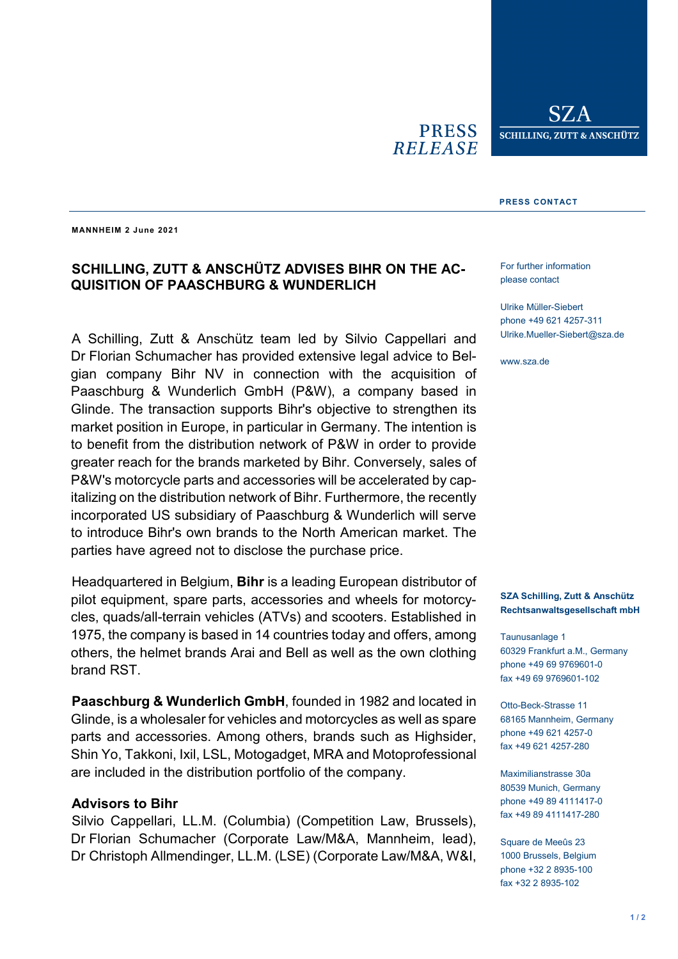**PRESS RELEASE** 

SZ.A SCHILLING, ZUTT & ANSCHÜTZ

#### **PRESS CONTACT**

**MANNHEIM 2 June 2021**

# **SCHILLING, ZUTT & ANSCHÜTZ ADVISES BIHR ON THE AC-QUISITION OF PAASCHBURG & WUNDERLICH**

A Schilling, Zutt & Anschütz team led by Silvio Cappellari and Dr Florian Schumacher has provided extensive legal advice to Belgian company Bihr NV in connection with the acquisition of Paaschburg & Wunderlich GmbH (P&W), a company based in Glinde. The transaction supports Bihr's objective to strengthen its market position in Europe, in particular in Germany. The intention is to benefit from the distribution network of P&W in order to provide greater reach for the brands marketed by Bihr. Conversely, sales of P&W's motorcycle parts and accessories will be accelerated by capitalizing on the distribution network of Bihr. Furthermore, the recently incorporated US subsidiary of Paaschburg & Wunderlich will serve to introduce Bihr's own brands to the North American market. The parties have agreed not to disclose the purchase price.

Headquartered in Belgium, **Bihr** is a leading European distributor of pilot equipment, spare parts, accessories and wheels for motorcycles, quads/all-terrain vehicles (ATVs) and scooters. Established in 1975, the company is based in 14 countries today and offers, among others, the helmet brands Arai and Bell as well as the own clothing brand RST.

**Paaschburg & Wunderlich GmbH**, founded in 1982 and located in Glinde, is a wholesaler for vehicles and motorcycles as well as spare parts and accessories. Among others, brands such as Highsider, Shin Yo, Takkoni, Ixil, LSL, Motogadget, MRA and Motoprofessional are included in the distribution portfolio of the company.

### **Advisors to Bihr**

Silvio Cappellari, LL.M. (Columbia) (Competition Law, Brussels), Dr Florian Schumacher (Corporate Law/M&A, Mannheim, lead), Dr Christoph Allmendinger, LL.M. (LSE) (Corporate Law/M&A, W&I,

For further information please contact

Ulrike Müller-Siebert phone +49 621 4257-311 Ulrike.Mueller-Siebert@sza.de

www.sza.de

#### **SZA Schilling, Zutt & Anschütz Rechtsanwaltsgesellschaft mbH**

Taunusanlage 1 60329 Frankfurt a.M., Germany phone +49 69 9769601-0 fax +49 69 9769601-102

Otto-Beck-Strasse 11 68165 Mannheim, Germany phone +49 621 4257-0 fax +49 621 4257-280

Maximilianstrasse 30a 80539 Munich, Germany phone +49 89 4111417-0 fax +49 89 4111417-280

Square de Meeûs 23 1000 Brussels, Belgium phone +32 2 8935-100 fax +32 2 8935-102